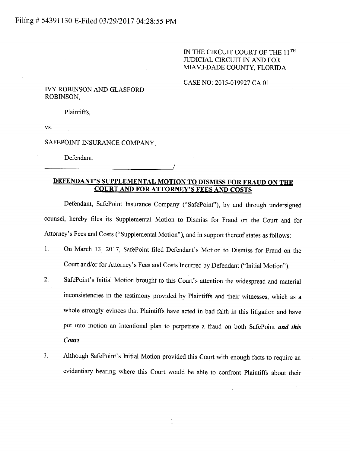## IN THE CIRCUIT COURT OF THE  $11^{\text{TH}}$ JIIDICIAL CIRCUIT IN AND FOR MIAMI-DADE COUNTY, FLORIDA

### CASE NO: 2015-019927 CA 01

### TVY ROBINSON AND GLASFORD ROBINSON,

Plaintiffs,

VS.

SAFEPOINT INSURANCE COMPANY.

Defendant.

# DEFENDANT'S SUPPLEMENTAL MOTION TO DISMISS FOR FRAUD ON THE COURT AND FOR ATTORNEY'S FEES AND COSTS

Defendant, SafePoint Insurance Company ("SafePoint"), by and through undersigned counsel, hereby files its Supplemental Motion to Dismiss for Fraud on the Court and for Attorney's Fees and Costs ("Supplemental Motion"), and in support thereof states as follows:

- l. On March 13,2017, SafePoint filed Defendant's Motion to Dismiss for Fraud on the Court and/or for Attorney's Fees and Costs Incured by Defendant ("Initial Motion").
- 2. SafePoint's Initial Motion brought to this Court's attention the widespread and material inconsistencies in the testimony provided by Plaintiffs and their witnesses, which as <sup>a</sup> whole strongly evinces that Plaintiffs have acted in bad faith in this litigation and have put into motion an intentional plan to perpetrate a fraud on both SafePoint and this Court.
- 3. Although SafePoint's hitial Motion provided this Court with enough facts to require an evidentiary hearing where this Court would be able to confront Plaintifß about their

I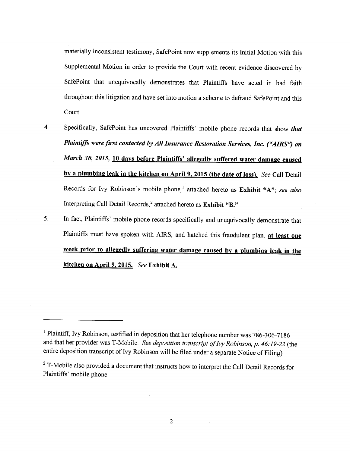materially inconsistent testimony, SafePoint now supplements its Initial Motion with this Supplemental Motion in order to provide the Court with recent evidence discovered by SafePoint that unequivocally demonstrates that Plaintiffs have acted in bad faith throughout this litigation and have set into motion a scheme to defraud SafePoint and this Court.

- 4 Specifically, SafePoint has uncovered Plaintiffs' mobile phone records that show that Plaintiffs were first contacted by All Insurance Restoration Services, Inc. ("AIRS") on March 30, 2015, 10 days before Plaintiffs' allegedly suffered water damage caused by a plumbing leak in the kitchen on April 9, 2015 (the date of loss). See Call Detail Records for Ivy Robinson's mobile phone,<sup>1</sup> attached hereto as Exhibit "A"; see also Interpreting Call Detail Records,<sup>2</sup> attached hereto as Exhibit "B."
- In fact, Plaintiffs' mobile phone records specifically and unequivocally demonstrate that Plaintiffs must have spoken with AIRS, and hatched this fraudulent plan, at least one week prior to allegedly suffering water damage caused by a plumbing leak in the kitchen on April 9, 2015. See Exhibit A. 5

 $1$  Plaintiff, Ivy Robinson, testified in deposition that her telephone number was 786-306-7186 and that her provider was T-Mobile. See deposition transcript of Ivy Robinson, p. 46:19-22 (the entire deposition transcript of Ivy Robinson will be filed under a separate Notice of Filing).

<sup>&</sup>lt;sup>2</sup> T-Mobile also provided a document that instructs how to interpret the Call Detail Records for Plaintifß' mobile phone.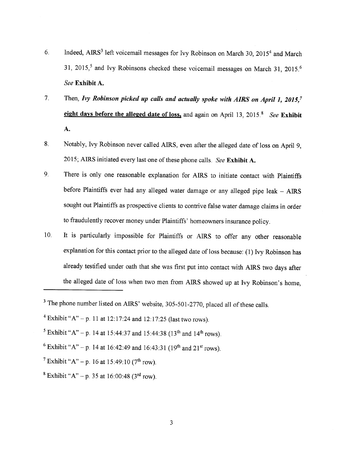- 6 Indeed, AIRS<sup>3</sup> left voicemail messages for Ivy Robinson on March 30, 2015<sup>4</sup> and March 31, 2015,<sup>5</sup> and Ivy Robinsons checked these voicemail messages on March 31, 2015.<sup>6</sup> See Exhibit A.
- 7 Then, Ivy Robinson picked up calls and actually spoke with AIRS on April 1, 2015,<sup>7</sup> eight days before the alleged date of loss, and again on April 13, 2015.<sup>8</sup> *See* Exhibit A.
- 8 Notably, Ivy Robinson never called AIRS, even after the alleged date of loss on April 9, 2015; AIRS initiated every last one of these phone calls. See Exhibit A.
- 9. There is only one reasonable explanation for AIRS to initiate contact with plaintiffs before Plaintiffs ever had any alleged water damage or any alleged pipe leak - AIRS sought out Plaintiffs as prospective clients to contrive false water damage claims in order to fraudulently recover money under Plaintiffs' homeowners insurance policy.
- It is particularly impossible for Plaintiffs or AIRS to offer any other reasonable explanation for this contact prior to the alleged date of loss because:  $(1)$  Ivy Robinson has already testified under oath that she was first put into contact with AIRS two days after the alleged date of loss when two men from AIRS showed up at Ivy Robinson's home, 10

<sup>&</sup>lt;sup>3</sup> The phone number listed on AIRS' website, 305-501-2770, placed all of these calls.

<sup>&</sup>lt;sup>4</sup> Exhibit "A" - p. 11 at 12:17:24 and 12:17:25 (last two rows).

<sup>&</sup>lt;sup>5</sup> Exhibit "A" – p. 14 at 15:44:37 and 15:44:38 (13<sup>th</sup> and 14<sup>th</sup> rows).

<sup>&</sup>lt;sup>6</sup> Exhibit "A" – p. 14 at 16:42:49 and 16:43:31 (19<sup>th</sup> and 21<sup>st</sup> rows).

<sup>&</sup>lt;sup>7</sup> Exhibit " $A$ " – p. 16 at 15:49:10 (7<sup>th</sup> row).

<sup>&</sup>lt;sup>8</sup> Exhibit "A" – p. 35 at 16:00:48 (3<sup>rd</sup> row).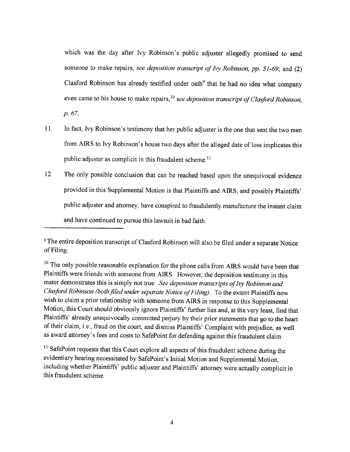which was the day after Ivy Robinson's public adjuster allegedly promised to send someone to make repairs, see deposition transcript of lvy Robinson, pp.  $51-69$ ; and  $(2)$ Clasford Robinson has already testified under oath<sup>9</sup> that he had no idea what company even came to his house to make repairs,  $10$  see deposition transcript of Clasford Robinson, p. 67.

- 11 In fact, Ivy Robinson's testimony that her public adjuster is the one that sent the two men from AIRS to Ivy Robinson's house two days after the alleged date of loss implicates this public adjuster as complicit in this fraudulent scheme.<sup>11</sup>
- $12.$ The only possible conclusion that can be reached based upon the unequivocal evidence provided in this Supplemental Motion is that Plaintiffs and AIRS, and possibly Plaintiffs' public adjuster and attorney, have conspired to fraudulently manufacture the instant claim and have continued to pursue this lawsuit in bad faith.

 $10$  The only possible reasonable explanation for the phone calls from AIRS would have been that Plaintiffs were friends with someone from AIRS. However, the deposition testimony in this mater demonstrates this is simply not true. See deposition transcripts of Ivy Robinson and Clasford Robinson (both filed under separate Notice of Filing). To the extent Plaintiffs now wish to claim a prior relationship with someone from AIRS in response to this Supplemental Motion, this Court should obviously ignore Plaintiffs' further lies and, at the very least, find that Plaintiffs' already unequivocally committed perjury by their prior statements that go to the heart of their claim, i.e., fraud on the court, and dismiss Plaintiffs' Complaint with prejudice, as well as award attomey's fees and costs to SafePoint for defending against this fraudulent claim.

<sup>11</sup> SafePoint requests that this Court explore all aspects of this fraudulent scheme during the evidentiary hearing necessitated by SafePoint's Initial Motion and Supplemental Motion, including whether Plaintiffs' public adjuster and Plaintiffs' attorney were actually complicit in this fraudulent scheme.

<sup>s</sup>The entire deposition transcript of Clasford Robinson will also be filed under a separate Notice of Filing.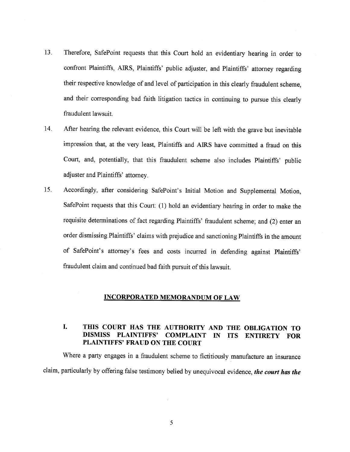- 13 Therefore, SafePoint requests that this Court hold an evidentiary hearing in order to confront Plaintiffs, AIRS, Plaintiffs' public adjuster, and Plaintiffs' attorney regarding their respective knowledge of and level of participation in this clearly fraudulent scheme, and their corresponding bad faith litigation tactics in continuing to pursue this clearly fraudulent lawsuit.
- 14. After hearing the relevant evidence, this Court will be left with the grave but inevitable impression that, at the very least, Plaintiffs and AIRS have committed a fraud on this Court, and, potentially, that this fraudulent scheme also includes Plaintiffs' public adjuster and Plaintiffs' attorney.
- 15 Accordingly, after considering SafePoint's Initial Motion and Supplemental Motion, SafePoint requests that this Court: (1) hold an evidentiary hearing in order to make the requisite determinations of fact regarding Plaintiffs' fraudulent scheme; and (2) enter an order dismissing Plaintiffs' claims with prejudice and sanctioning Plaintiffs in the amount of SafePoint's attorney's fees and costs incurred in defending against Plaintiffs' fraudulent claim and continued bad faith pursuit of this lawsuit.

#### INCORPORATED MEMORANDUM OF LAW

# I. THIS COURT HAS THE AUTHORITY AND THE OBLIGATION TO<br>DISMISS PLAINTIFFS' COMPLAINT IN ITS ENTIRETY FOR DISMISS PLAINTIFFS' COMPLAINT IN ITS ENTIRETY FOR PLAINTIFFS' FRAUD ON THE COURT

Where a party engages in a fraudulent scheme to fictitiously manufacture an insurance claim, particularly by offering false testimony belied by unequivocal evidence, the court has the

5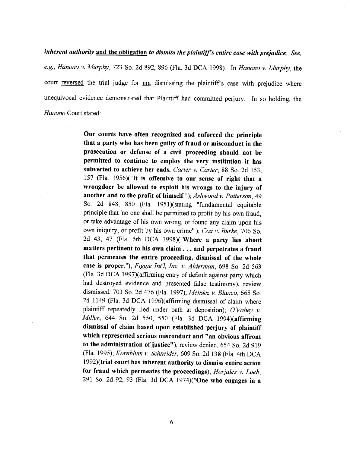inherent authority and the obligation to dismiss the plaintiff's entire case with prejudice. See, e.g., Hanono v. Murphy, 723 So. 2d 892, 896 (Fla. 3d DCA 1998). In Hanono v. Murphy, the court reversed the trial judge for not dismissing the plaintiff's case with prejudice where unequivocal evidence demonstrated that Plaintiff had committed perjury. In so holding, the Hanono Court stated:

> Our courts have often recognized and enforced the principte that a party who has been guilty of fraud or misconduct in the prosecution or defense of a civil proceeding should not be permitted to continue to employ the very institution it has subverted to achieve her ends. Carter v. Carter, 88 So. 2d 153, 157 (Fla. 1956)("It is offensive to our sense of right that a wrongdoer be allowed to exploit his wrongs to the injury of another and to the profit of himself."); Ashwood v. Patterson, 49 So. 2d 848, 850 (Fla. 1951)(stating "fundamental equitable principle that 'no one shall be permitted to profit by his own fraud, or take advantage of his own wrong, or found any claim upon his own iniquity, or profit by his own crime"'); Cox v. Burke,706 So. 2d 43, 47 (Fla. 5th DCA 1998)("Where a party lies about matters pertinent to his own claim . . . and perpetrates a fraud that permeates the entire proceeding, dismissal of the whole case is proper."); Figgie Int'l, Inc. v. Alderman, 698 So. 2d 563 (Fla. 3d DCA 1997)(affirming entry of default against party which had destroyed evidence and presented false testimony), review dismissed, 703 So. 2d 476 (Fla. 1997); Mendez v. Blanco, 665 So. 2d lI49 (Fla. 3d DCA 1996)(affirming dismissal of claim where plaintiff repeatedly lied under oath at deposition);  $O'V$ ahey v. Miller, 644 So. 2d 550, 550 (Fla. 3d DCA 1994)(affirming dismissal of claim based upon established perjury of plaintiff which represented serious misconduct and "an obvious affront to the administration of justice"), review denied, 654 So. 2d 919 (Fla. 1995); Kornblum v. Schneider, 609 So. 2d 138 (Fla. 4th DCA 1992)(trial court has inherent authority to dismiss entire action for fraud which permeates the proceedings); Horjales v. Loeb, 291 So. 2d 92, 93 (Fla. 3d DCA 1974)("One who engages in a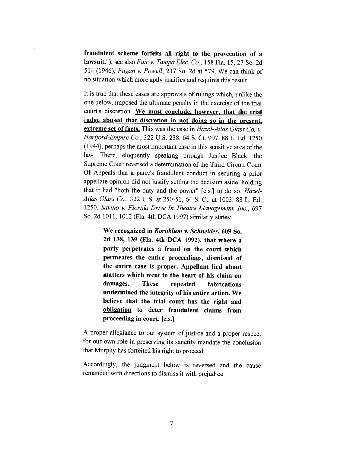fraudulent scheme forfeits all right to the prosecution of <sup>a</sup> lawsuit."); see also Fair v. Tampa Elec. Co., 158 Fla. 15, 27 So. 2d 514 (1946); *Fagan v. Powell*, 237 So. 2d at 579. We can think of no situation which more aptly justifies and requires this result.

It is true that these cases are approvals of rulings which, unlike the one below, imposed the ultimate penalty in the exercise of the trial court's discretion. We must conclude, however, that the trial judge abused that discretion in not doing so in the present, extreme set of facts. This was the case in Hazel-Atlas Glass Co. v. Hartford-Empire Co., 322 U.S. 238, 64 S. Ct. 997, 88 L. Ed. 1250 (1944), perhaps the most important case in this sensitive area of the law. There, eloquently speaking through Justice Black, the Supreme Court reversed a determination of the Third Circuit Court Of Appeals that a party's fraudulent conduct in securing a prior appellate opinion did not justify setting the decision aside, holding that it had "both the duty and the power" [e.s.] to do so. Hazel-Atlas Glass Co.,322 U.S. at 250-51,64 S. Ct. at 1003,88 L. Ed. 1250. Savino v. Florida Drive In Theatre Management, Inc., 697 So. 2d 1011, 1012 (Fla. 4th DCA 1997) similarly states:

> We recognized in Kornblum v. Schneíder, 609 So. 2d 138, 139 (Fla. 4th DCA 1992\, that where <sup>a</sup> party perpetrates a fraud on the court which permeates the entire proceedings, dismissal of the entire case is proper. Appellant lied about matters which went to the heart of his claim on damages. These repeated fabrications undermined the integrity of his entire action. We believe that the trial court has the right and oblieation to deter fraudulent claims from proceeding in court. [e.s.]

A proper allegiance to our system of justice and a proper respect for our own role in preserving its sanctity mandate the conclusion that Murphy has forfeited his right to proceed.

Accordingly, the judgment below is reversed and the cause remanded with directions to dismiss it with prejudice.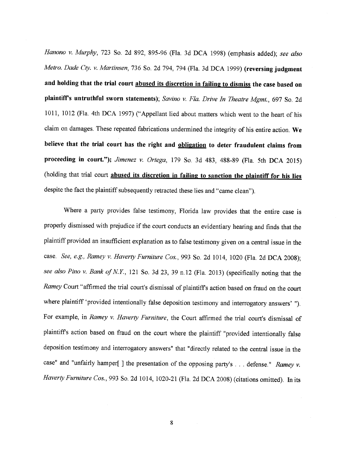Hanono v. Murphy, 723 So. 2d 892, 895-96 (Fla. 3d DCA 1998) (emphasis added); see also Metro. Dade Cty. v. Martinsen, 736 So. 2d 794, 794 (Fla. 3d DCA 1999) (reversing judgment and holding that the trial court abused its discretion in failing to dismiss the case based on plaintiff's untruthful sworn statements); Savino v. Fla. Drive In Theatre Mgmt., 697 So. 2d 1011, 1012 (Fla. 4th DCA 1997) ("Appellant lied about matters which went to the heart of his claim on damages. These repeated fabrications undermined the integrity of his entire action. We believe that the trial court has the right and obligation to deter fraudulent claims from proceeding in court."); Jimenez v. Ortega, 179 So. 3d 483, 488-89 (Fla. 5th DCA 2015) (holding that trial court abused its discretion in failing to sanction the plaintiff for his lies despite the fact the plaintiff subsequently retracted these lies and "came clean").

Where a party provides false testimony, Florida law provides that the entire case is properly dismissed with prejudice if the court conducts an evidentiary hearing and finds that the plaintiff provided an insuffrcient explanation as to false testimony given on a central issue in the case. See, e.g., Ramey v. Haverty Furniture Cos., 993 So. 2d 1014, 1020 (Fla. 2d DCA 2008); see also Pino v. Bank of N.Y., 121 So. 3d 23, 39 n.12 (Fla. 2013) (specifically noting that the Ramey Court "affirmed the trial court's dismissal of plaintiffs action based on fraud on the court where plaintiff 'provided intentionally false deposition testimony and interrogatory answers' "). For example, in Ramey v. Haverty Furniture, the Court affirmed the trial court's dismissal of plaintiffs action based on fraud on the court where the plaintiff "provided intentionally false deposition testimony and interrogatory answers" that "directly related to the central issue in the case" and "unfairly hamper[ ] the presentation of the opposing party's . . . defense." Ramey v. Haverty Furniture Cos., 993 So. 2d 1014, 1020-21 (Fla. 2d DCA 2008) (citations omitted). In its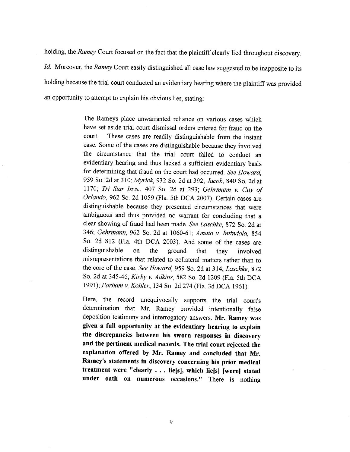holding, the Ramey Court focused on the fact that the plaintiff clearly lied throughout discovery. 1d. Moreover, the Ramey Court easily distinguished all case law suggested to be inapposite to its holding because the trial court conducted an evidentiary hearing where the plaintiff was provided an opportunity to attempt to explain his obvious lies, stating:

> The Rameys place unwarranted reliance on various cases which have set aside trial court dismissal orders entered for fraud on the court. These cases are readily distinguishable from the instant case. Some of the cases are distinguishable because they involved the circumstance that the trial court failed to conduct an evidentiary hearing and thus lacked a sufficient evidentiary basis for determining that fraud on the court had occurred. See Howard, 959 So. 2d at 310; Myrick, 932 So. 2d at 392; Jacob, 840 So. 2d at Il70; Tri Star Invs.,407 So, 2d at 293; Gehrmann v. City of Orlando,962 So. 2d 1059 (Fla. 5th DCA 2007). Certain cases are distinguishable because they presented circumstances that were ambiguous and thus provided no warrant for concluding that <sup>a</sup> clear showing of fraud had been made. See Laschke, 872 So. 2d at 346; Gehrmann, 962 So. 2d at 1060-61; Amato v. Intindola, 854 So. 2d 812 (Fla. 4th DCA 2003). And some of the cases are distinguishable on the ground that they involved misrepresentations that related to collateral matters rather than to the core of the case. See Howard, 959 So. 2d at 314; Laschke, 872 So. 2d at 345-46; Kirby v. Adkins, 582 So. 2d 1209 (Fla. 5th DCA 1991); Parham v. Kohler, 134 So. 2d 274 (Fla. 3d DCA 1961).

> Here, the record unequivocally supports the trial court's determination that Mr. Ramey provided intentionally false deposition testimony and interrogatory answers. Mr. Ramey was given a full opportunity at the evidentiary hearing to explain the discrepancies between his sworn responses in discovery and the pertinent medical records. The trial court rejected the explanation offered by Mr. Ramey and concluded that Mr. Ramey's statements in discovery concerning his prior medical treatment were "clearly . . . lie[sì, which lie[s] [were] stated under oath on numerous occasions." There is nothing

> > 9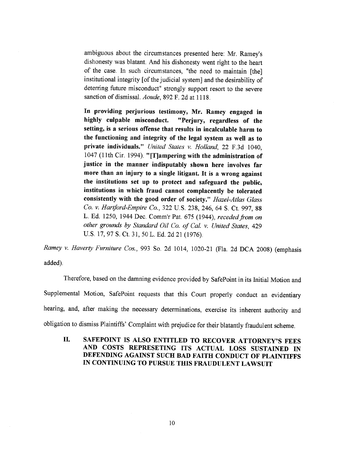ambiguous about the circumstances presented here: Mr. Ramey's dishonesty was blatant. And his dishonesty went right to the heart of the case. In such circumstances, "the need to maintain [the] institutional integrity [of the judicial system] and the desirability of deterring future misconduct" strongly support resort to the severe sanction of dismissal. Aoude, 892 F. 2d at 1118.

In providing perjurious testimony, Mr. Ramey engaged in highly culpable misconduct. "Perjury, regardless of the setting, is a serious offense that results in incalculable harm to the functioning and integrity of the legal system as well as to private individuals." United States v. Holland, 22 F.3d 1040, 1047 (11th Cir. 1994). "[T]ampering with the administration of justice in the manner indisputably shown here involves far more than an injury to a single litigant. It is a wrong against the institutions set up to protect and safeguard the public, institutions in which fraud cannot complacently be tolerated consistently with the good order of society." Hazel-Atlas Glass Co. v. Hartford-Empire Co., 322 U.S. 238, 246, 64 S. Ct. 997, 88 L. Ed. 1250, 1944 Dec. Comm'r Pat. 675 (1944), receded from on other grounds by Standard Oil Co. of Cal. v. United States, 429 U.S. 17, 97 S. Ct. 31, 50 L. Ed. 2d 21 (1976).

Ramey v. Haverty Furniture Cos., 993 So. 2d 1014, 1020-21 (Fla. 2d DCA 2008) (emphasis added).

Therefore, based on the damning evidence provided by SafePoint in its Initial Motion and Supplemental Motion, SafePoint requests that this Court properly conduct an evidentiary hearing, and, after making the necessary determinations, exercise its inherent authority and obligation to dismiss Plaintiffs' Complaint with prejudice for their blatantly fraudulent scheme.

il. SAFEPOINT IS ALSO ENTITLED TO RECOVER ATTORNEY'S FEES AND COSTS REPRESETING ITS ACTUAL LOSS SUSTAINED IN DEFENDING AGAINST SUCH BAD FAITH CONDUCT OF PLAINTIFFS IN CONTINUING TO PURSUE THIS FRAUDULENT LAWSUIT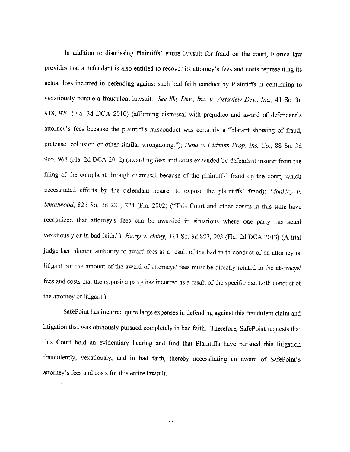In addition to dismissing Plaintiffs' entire lawsuit for fraud on the court, Florida law provides that a defendant is also entitled to recover its attomey's fees and costs representing its actual loss incurred in defending against such bad faith conduct by Plaintiffs in continuing to vexatiously pursue a fraudulent lawsuit. See Sky Dev., Inc. v. Vistaview Dev., Inc., 41 So. 3d 9I8, 920 (Fla. 3d DCA 2010) (affirming dismissal with prejudice and award of defendant's attorney's fees because the plaintiffs misconduct was certainly a "blatant showing of fraud, pretense, collusion or other similar wrongdoing."); Pena v. Citizens Prop. Ins. Co., 88 So. 3d 965, 968 (Fla. 2d DCA 2012) (awarding fees and costs expended by defendant insurer from the filing of the complaint through dismissal because of the plaintiffs' fraud on the court, which necessitated efforts by the defendant insurer to expose the plaintiffs' fraud); Moakley v. Smallwood, 826 So. 2d 221, 224 (Fla. 2002) ("This Court and other courts in this state have recognized that attorney's fees can be awarded in situations where one party has acted vexatiously or in bad faith."); Heiny v. Heiny, 113 So. 3d 897, 903 (Fla. 2d DCA 2013) (A trial judge has inherent authority to award fees as a result of the bad faith conduct of an attorney or litigant but the amount of the award of attorneys' fees must be directly related to the attorneys' fees and costs that the opposing party has incurred as a result of the specific bad faith conduct of the attorney or litigant.).

SafePoint has incurred quite large expenses in defending against this fraudulent claim and litigation that was obviously pursued completely in bad faith. Therefore, SafePoint requests that this Court hold an evidentiary hearing and find that Plaintiffs have pursued this litigation fraudulently, vexatiously, and in bad faith, thereby necessitating an award of Safepoint's attorney's fees and costs for this entire lawsuit.

11